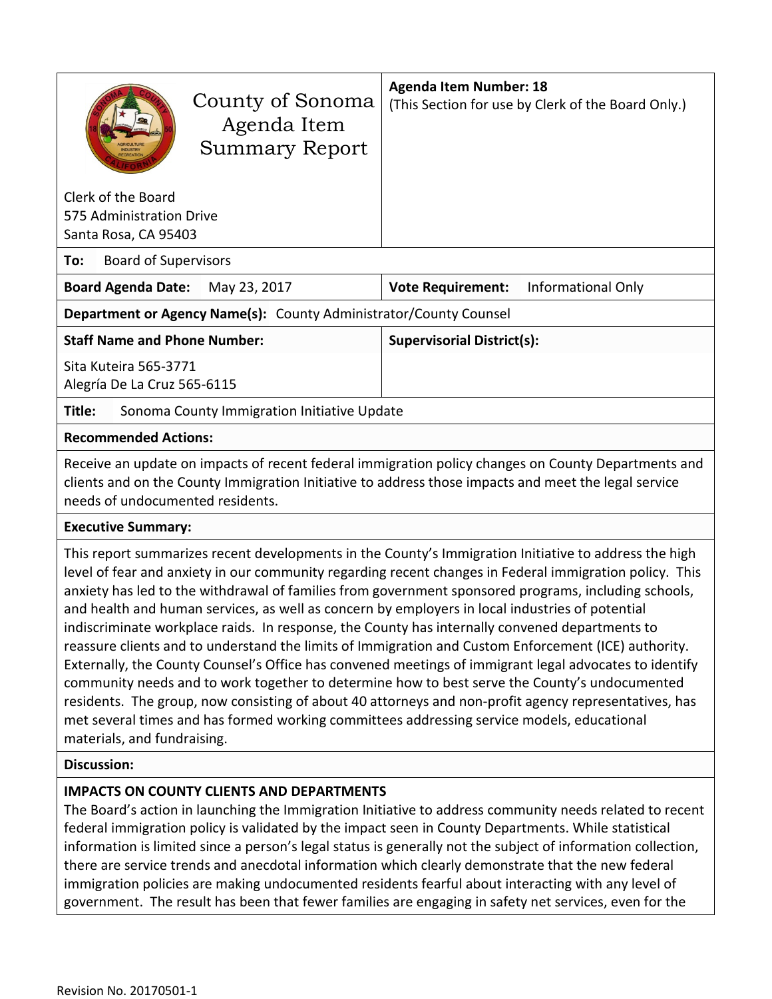| County of Sonoma<br>Agenda Item<br><b>Summary Report</b>                                                                                                                                                                                                                                                                                                                                                                                    | <b>Agenda Item Number: 18</b><br>(This Section for use by Clerk of the Board Only.) |  |  |  |
|---------------------------------------------------------------------------------------------------------------------------------------------------------------------------------------------------------------------------------------------------------------------------------------------------------------------------------------------------------------------------------------------------------------------------------------------|-------------------------------------------------------------------------------------|--|--|--|
| Clerk of the Board<br>575 Administration Drive<br>Santa Rosa, CA 95403                                                                                                                                                                                                                                                                                                                                                                      |                                                                                     |  |  |  |
| <b>Board of Supervisors</b><br>To:                                                                                                                                                                                                                                                                                                                                                                                                          |                                                                                     |  |  |  |
| <b>Board Agenda Date:</b><br>May 23, 2017                                                                                                                                                                                                                                                                                                                                                                                                   | <b>Vote Requirement:</b><br><b>Informational Only</b>                               |  |  |  |
| Department or Agency Name(s): County Administrator/County Counsel                                                                                                                                                                                                                                                                                                                                                                           |                                                                                     |  |  |  |
| <b>Staff Name and Phone Number:</b>                                                                                                                                                                                                                                                                                                                                                                                                         | <b>Supervisorial District(s):</b>                                                   |  |  |  |
| Sita Kuteira 565-3771<br>Alegría De La Cruz 565-6115                                                                                                                                                                                                                                                                                                                                                                                        |                                                                                     |  |  |  |
| Sonoma County Immigration Initiative Update<br>Title:                                                                                                                                                                                                                                                                                                                                                                                       |                                                                                     |  |  |  |
| <b>Recommended Actions:</b>                                                                                                                                                                                                                                                                                                                                                                                                                 |                                                                                     |  |  |  |
| Receive an update on impacts of recent federal immigration policy changes on County Departments and<br>clients and on the County Immigration Initiative to address those impacts and meet the legal service<br>needs of undocumented residents.                                                                                                                                                                                             |                                                                                     |  |  |  |
| <b>Executive Summary:</b>                                                                                                                                                                                                                                                                                                                                                                                                                   |                                                                                     |  |  |  |
| This report summarizes recent developments in the County's Immigration Initiative to address the high<br>level of fear and anxiety in our community regarding recent changes in Federal immigration policy. This<br>anxiety has led to the withdrawal of families from government sponsored programs, including schools,<br>the contract of the contract of the contract of the contract of the contract of the contract of the contract of |                                                                                     |  |  |  |

and health and human services, as well as concern by employers in local industries of potential indiscriminate workplace raids. In response, the County has internally convened departments to reassure clients and to understand the limits of Immigration and Custom Enforcement (ICE) authority. Externally, the County Counsel's Office has convened meetings of immigrant legal advocates to identify community needs and to work together to determine how to best serve the County's undocumented residents. The group, now consisting of about 40 attorneys and non-profit agency representatives, has met several times and has formed working committees addressing service models, educational materials, and fundraising.

#### **Discussion:**

### **IMPACTS ON COUNTY CLIENTS AND DEPARTMENTS**

The Board's action in launching the Immigration Initiative to address community needs related to recent federal immigration policy is validated by the impact seen in County Departments. While statistical information is limited since a person's legal status is generally not the subject of information collection, there are service trends and anecdotal information which clearly demonstrate that the new federal immigration policies are making undocumented residents fearful about interacting with any level of government. The result has been that fewer families are engaging in safety net services, even for the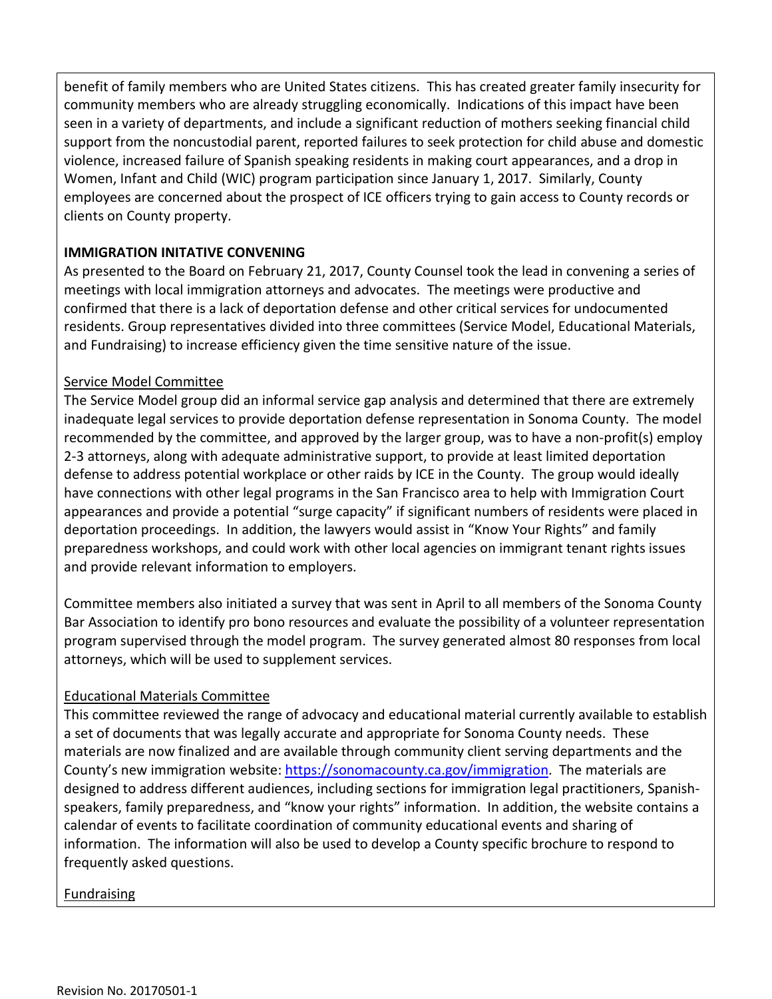benefit of family members who are United States citizens. This has created greater family insecurity for community members who are already struggling economically. Indications of this impact have been seen in a variety of departments, and include a significant reduction of mothers seeking financial child support from the noncustodial parent, reported failures to seek protection for child abuse and domestic violence, increased failure of Spanish speaking residents in making court appearances, and a drop in Women, Infant and Child (WIC) program participation since January 1, 2017. Similarly, County employees are concerned about the prospect of ICE officers trying to gain access to County records or clients on County property.

### **IMMIGRATION INITATIVE CONVENING**

As presented to the Board on February 21, 2017, County Counsel took the lead in convening a series of meetings with local immigration attorneys and advocates. The meetings were productive and confirmed that there is a lack of deportation defense and other critical services for undocumented residents. Group representatives divided into three committees (Service Model, Educational Materials, and Fundraising) to increase efficiency given the time sensitive nature of the issue.

## Service Model Committee

The Service Model group did an informal service gap analysis and determined that there are extremely inadequate legal services to provide deportation defense representation in Sonoma County. The model recommended by the committee, and approved by the larger group, was to have a non-profit(s) employ 2-3 attorneys, along with adequate administrative support, to provide at least limited deportation defense to address potential workplace or other raids by ICE in the County. The group would ideally have connections with other legal programs in the San Francisco area to help with Immigration Court appearances and provide a potential "surge capacity" if significant numbers of residents were placed in deportation proceedings. In addition, the lawyers would assist in "Know Your Rights" and family preparedness workshops, and could work with other local agencies on immigrant tenant rights issues and provide relevant information to employers.

Committee members also initiated a survey that was sent in April to all members of the Sonoma County Bar Association to identify pro bono resources and evaluate the possibility of a volunteer representation program supervised through the model program. The survey generated almost 80 responses from local attorneys, which will be used to supplement services.

### Educational Materials Committee

This committee reviewed the range of advocacy and educational material currently available to establish a set of documents that was legally accurate and appropriate for Sonoma County needs. These materials are now finalized and are available through community client serving departments and the County's new immigration website: [https://sonomacounty.ca.gov/immigration.](https://sonomacounty.ca.gov/immigration) The materials are designed to address different audiences, including sections for immigration legal practitioners, Spanishspeakers, family preparedness, and "know your rights" information. In addition, the website contains a calendar of events to facilitate coordination of community educational events and sharing of information. The information will also be used to develop a County specific brochure to respond to frequently asked questions.

### **Fundraising**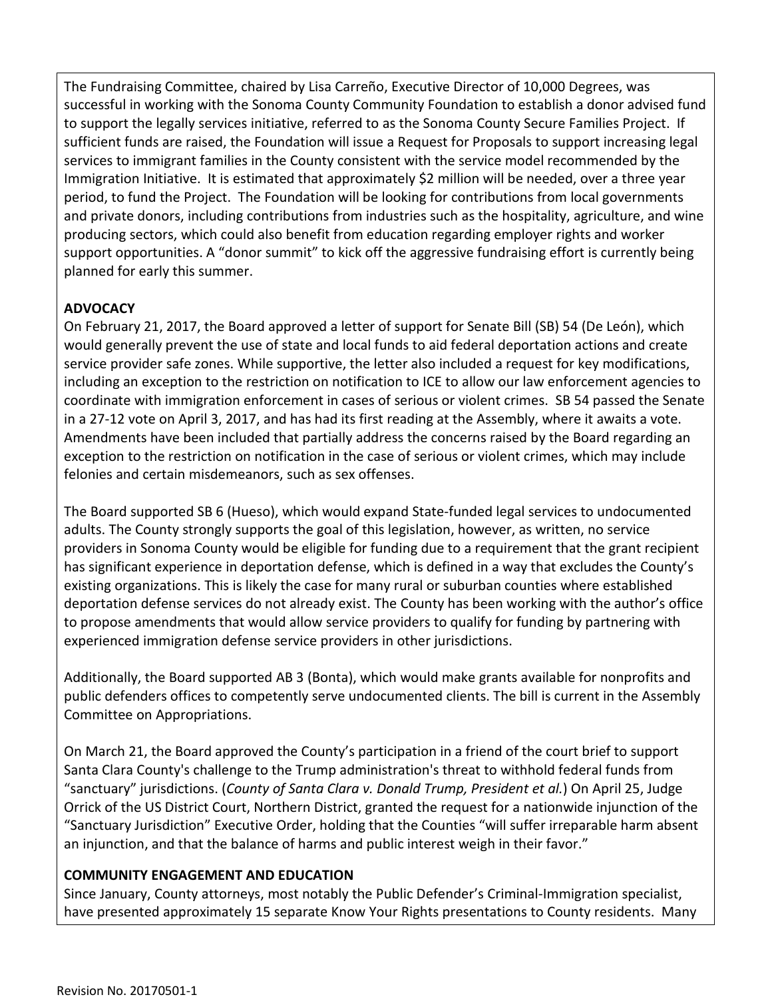The Fundraising Committee, chaired by Lisa Carreño, Executive Director of 10,000 Degrees, was successful in working with the Sonoma County Community Foundation to establish a donor advised fund to support the legally services initiative, referred to as the Sonoma County Secure Families Project. If sufficient funds are raised, the Foundation will issue a Request for Proposals to support increasing legal services to immigrant families in the County consistent with the service model recommended by the Immigration Initiative. It is estimated that approximately \$2 million will be needed, over a three year period, to fund the Project. The Foundation will be looking for contributions from local governments and private donors, including contributions from industries such as the hospitality, agriculture, and wine producing sectors, which could also benefit from education regarding employer rights and worker support opportunities. A "donor summit" to kick off the aggressive fundraising effort is currently being planned for early this summer.

# **ADVOCACY**

On February 21, 2017, the Board approved a letter of support for Senate Bill (SB) 54 (De León), which would generally prevent the use of state and local funds to aid federal deportation actions and create service provider safe zones. While supportive, the letter also included a request for key modifications, including an exception to the restriction on notification to ICE to allow our law enforcement agencies to coordinate with immigration enforcement in cases of serious or violent crimes. SB 54 passed the Senate in a 27-12 vote on April 3, 2017, and has had its first reading at the Assembly, where it awaits a vote. Amendments have been included that partially address the concerns raised by the Board regarding an exception to the restriction on notification in the case of serious or violent crimes, which may include felonies and certain misdemeanors, such as sex offenses.

The Board supported SB 6 (Hueso), which would expand State-funded legal services to undocumented adults. The County strongly supports the goal of this legislation, however, as written, no service providers in Sonoma County would be eligible for funding due to a requirement that the grant recipient has significant experience in deportation defense, which is defined in a way that excludes the County's existing organizations. This is likely the case for many rural or suburban counties where established deportation defense services do not already exist. The County has been working with the author's office to propose amendments that would allow service providers to qualify for funding by partnering with experienced immigration defense service providers in other jurisdictions.

Additionally, the Board supported AB 3 (Bonta), which would make grants available for nonprofits and public defenders offices to competently serve undocumented clients. The bill is current in the Assembly Committee on Appropriations.

On March 21, the Board approved the County's participation in a friend of the court brief to support Santa Clara County's challenge to the Trump administration's threat to withhold federal funds from "sanctuary" jurisdictions. (*County of Santa Clara v. Donald Trump, President et al.*) On April 25, Judge Orrick of the US District Court, Northern District, granted the request for a nationwide injunction of the "Sanctuary Jurisdiction" Executive Order, holding that the Counties "will suffer irreparable harm absent an injunction, and that the balance of harms and public interest weigh in their favor."

# **COMMUNITY ENGAGEMENT AND EDUCATION**

Since January, County attorneys, most notably the Public Defender's Criminal-Immigration specialist, have presented approximately 15 separate Know Your Rights presentations to County residents. Many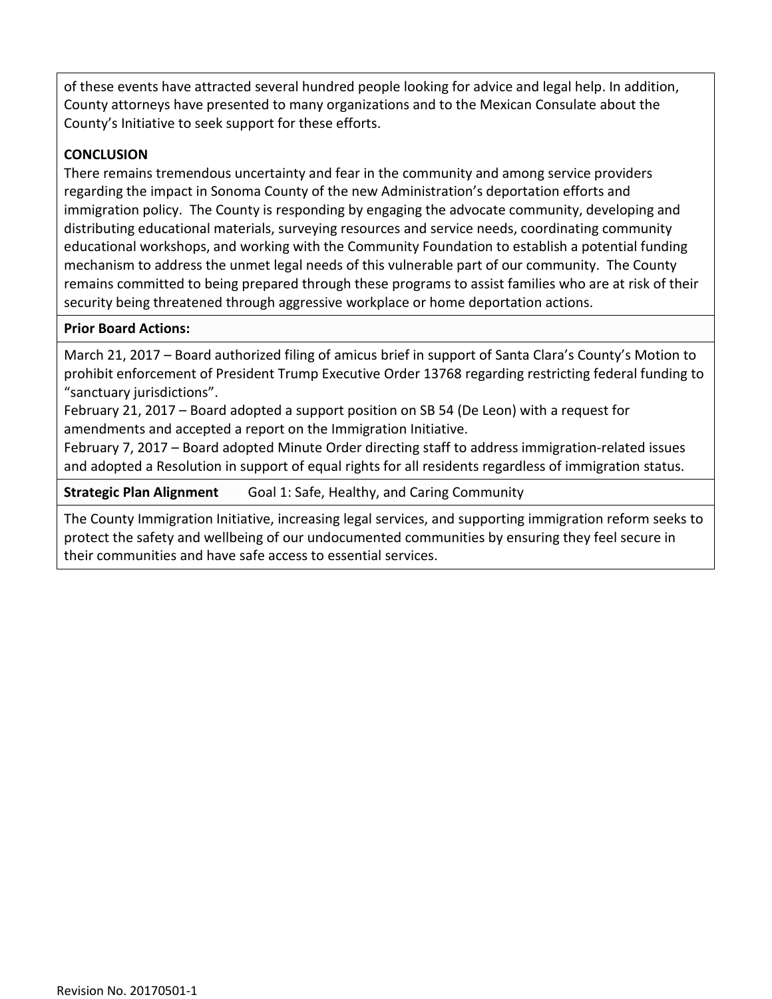of these events have attracted several hundred people looking for advice and legal help. In addition, County attorneys have presented to many organizations and to the Mexican Consulate about the County's Initiative to seek support for these efforts.

#### **CONCLUSION**

There remains tremendous uncertainty and fear in the community and among service providers regarding the impact in Sonoma County of the new Administration's deportation efforts and immigration policy. The County is responding by engaging the advocate community, developing and distributing educational materials, surveying resources and service needs, coordinating community educational workshops, and working with the Community Foundation to establish a potential funding mechanism to address the unmet legal needs of this vulnerable part of our community. The County remains committed to being prepared through these programs to assist families who are at risk of their security being threatened through aggressive workplace or home deportation actions.

#### **Prior Board Actions:**

March 21, 2017 – Board authorized filing of amicus brief in support of Santa Clara's County's Motion to prohibit enforcement of President Trump Executive Order 13768 regarding restricting federal funding to "sanctuary jurisdictions".

February 21, 2017 – Board adopted a support position on SB 54 (De Leon) with a request for amendments and accepted a report on the Immigration Initiative.

February 7, 2017 – Board adopted Minute Order directing staff to address immigration-related issues and adopted a Resolution in support of equal rights for all residents regardless of immigration status.

**Strategic Plan Alignment** Goal 1: Safe, Healthy, and Caring Community

The County Immigration Initiative, increasing legal services, and supporting immigration reform seeks to protect the safety and wellbeing of our undocumented communities by ensuring they feel secure in their communities and have safe access to essential services.